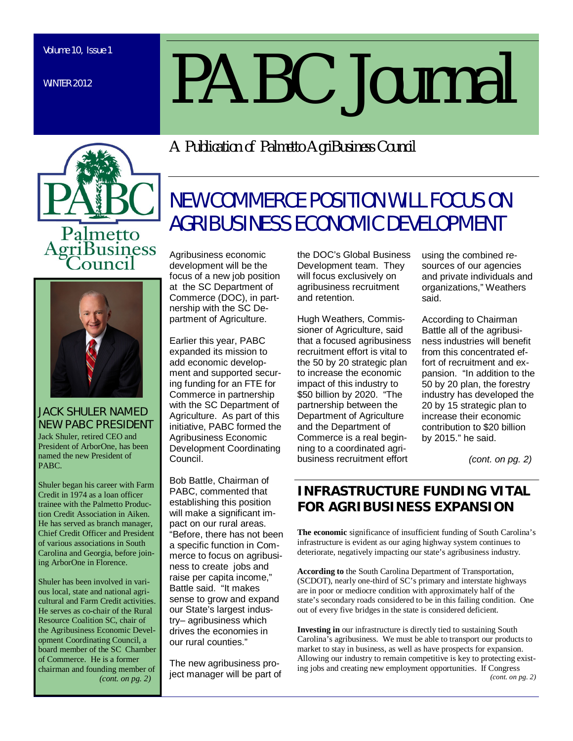WINTER 2012

# *PABC Journal*

metto **Business** 



*JACK SHULER NAMED NEW PABC PRESIDENT* Jack Shuler, retired CEO and President of ArborOne, has been named the new President of PABC.

Shuler began his career with Farm Credit in 1974 as a loan officer trainee with the Palmetto Production Credit Association in Aiken. He has served as branch manager, Chief Credit Officer and President of various associations in South Carolina and Georgia, before joining ArborOne in Florence.

Shuler has been involved in various local, state and national agricultural and Farm Credit activities. He serves as co-chair of the Rural Resource Coalition SC, chair of the Agribusiness Economic Development Coordinating Council, a board member of the SC Chamber of Commerce. He is a former chairman and founding member of  *(cont. on pg. 2)* 

*A Publication of Palmetto AgriBusiness Council*

# NEW COMMERCE POSITION WILL FOCUS ON AGRIBUSINESS ECONOMIC DEVELOPMENT

Agribusiness economic development will be the focus of a new job position at the SC Department of Commerce (DOC), in partnership with the SC Department of Agriculture.

Earlier this year, PABC expanded its mission to add economic development and supported securing funding for an FTE for Commerce in partnership with the SC Department of Agriculture. As part of this initiative, PABC formed the Agribusiness Economic Development Coordinating Council.

Bob Battle, Chairman of PABC, commented that establishing this position will make a significant impact on our rural areas. "Before, there has not been a specific function in Commerce to focus on agribusiness to create jobs and raise per capita income," Battle said. "It makes sense to grow and expand our State's largest industry– agribusiness which drives the economies in our rural counties."

The new agribusiness project manager will be part of the DOC's Global Business Development team. They will focus exclusively on agribusiness recruitment and retention.

Hugh Weathers, Commissioner of Agriculture, said that a focused agribusiness recruitment effort is vital to the 50 by 20 strategic plan to increase the economic impact of this industry to \$50 billion by 2020. "The partnership between the Department of Agriculture and the Department of Commerce is a real beginning to a coordinated agribusiness recruitment effort

using the combined resources of our agencies and private individuals and organizations," Weathers said.

According to Chairman Battle all of the agribusiness industries will benefit from this concentrated effort of recruitment and expansion. "In addition to the 50 by 20 plan, the forestry industry has developed the 20 by 15 strategic plan to increase their economic contribution to \$20 billion by 2015." he said.

*(cont. on pg. 2)*

### **INFRASTRUCTURE FUNDING VITAL FOR AGRIBUSINESS EXPANSION**

**The economic** significance of insufficient funding of South Carolina's infrastructure is evident as our aging highway system continues to deteriorate, negatively impacting our state's agribusiness industry.

**According to** the South Carolina Department of Transportation, (SCDOT), nearly one-third of SC's primary and interstate highways are in poor or mediocre condition with approximately half of the state's secondary roads considered to be in this failing condition. One out of every five bridges in the state is considered deficient.

**Investing in** our infrastructure is directly tied to sustaining South Carolina's agribusiness. We must be able to transport our products to market to stay in business, as well as have prospects for expansion. Allowing our industry to remain competitive is key to protecting existing jobs and creating new employment opportunities. If Congress *(cont. on pg. 2)*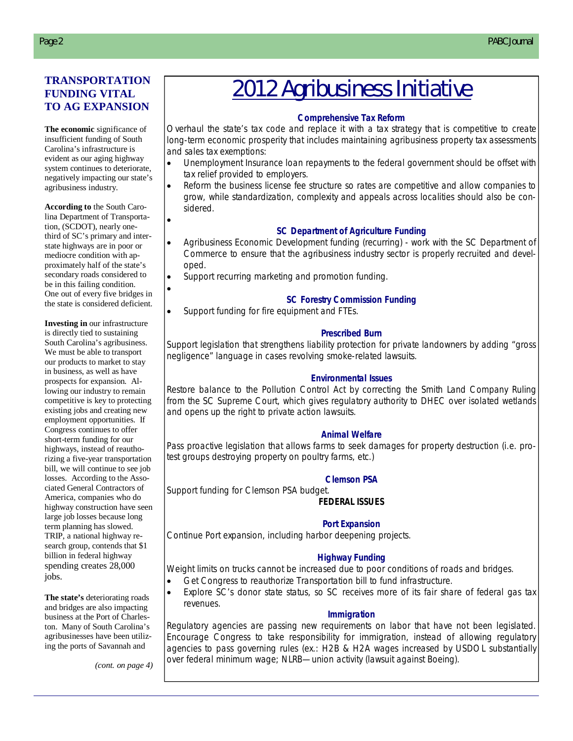### **TRANSPORTATION FUNDING VITAL TO AG EXPANSION**

**The economic** significance of insufficient funding of South Carolina's infrastructure is evident as our aging highway system continues to deteriorate, negatively impacting our state's agribusiness industry.

**According to** the South Carolina Department of Transportation, (SCDOT), nearly onethird of SC's primary and interstate highways are in poor or mediocre condition with approximately half of the state's secondary roads considered to be in this failing condition. One out of every five bridges in the state is considered deficient.

 $\bullet$ 

 $\bullet$ 

**Investing in** our infrastructure is directly tied to sustaining South Carolina's agribusiness. We must be able to transport our products to market to stay in business, as well as have prospects for expansion. Allowing our industry to remain competitive is key to protecting existing jobs and creating new employment opportunities. If Congress continues to offer short-term funding for our highways, instead of reauthorizing a five-year transportation bill, we will continue to see job losses. According to the Associated General Contractors of America, companies who do highway construction have seen large job losses because long term planning has slowed. TRIP, a national highway research group, contends that \$1 billion in federal highway spending creates 28,000 jobs.

**The state's** deteriorating roads and bridges are also impacting business at the Port of Charleston. Many of South Carolina's agribusinesses have been utilizing the ports of Savannah and

*(cont. on page 4)*

# 2012 Agribusiness Initiative

### . **Comprehensive Tax Reform**

Overhaul the state's tax code and replace it with a tax strategy that is competitive to create long-term economic prosperity that includes maintaining agribusiness property tax assessments and sales tax exemptions:

- Unemployment Insurance loan repayments to the federal government should be offset with tax relief provided to employers.
- Reform the business license fee structure so rates are competitive and allow companies to grow, while standardization, complexity and appeals across localities should also be considered.

### **SC Department of Agriculture Funding**

- Agribusiness Economic Development funding (recurring) work with the SC Department of General Fundi Commerce to ensure that the agribusiness industry sector is properly recruited and devel-<br>oped oped.
- dent of Agriculture of Agriculture • Support recurring marketing and promotion funding.

### **SC Forestry Commission Funding**

Support funding for fire equipment and FTEs.

### **Prescribed Burn**

Support legislation that strengthens liability protection for private landowners by adding "gross negligence" language in cases revolving smoke-related lawsuits.

### **Environmental Issues**

Restore balance to the Pollution Control Act by correcting the Smith Land Company Ruling from the SC Supreme Court, which gives regulatory authority to DHEC over isolated wetlands and opens up the right to private action lawsuits.

### **Animal Welfare**

Pass proactive legislation that allows farms to seek damages for property destruction (i.e. protest groups destroying property on poultry farms, etc.)

### **Clemson PSA**

Support funding for Clemson PSA budget.

### **FEDERAL ISSUES**

### **Port Expansion**

Continue Port expansion, including harbor deepening projects.

### **Highway Funding**

Weight limits on trucks cannot be increased due to poor conditions of roads and bridges.

- Get Congress to reauthorize Transportation bill to fund infrastructure.
	- Explore SC's donor state status, so SC receives more of its fair share of federal gas tax revenues.

### **Immigration**

Regulatory agencies are passing new requirements on labor that have not been legislated. Encourage Congress to take responsibility for immigration, instead of allowing regulatory agencies to pass governing rules (ex.: H2B & H2A wages increased by USDOL substantially over federal minimum wage; NLRB—union activity (lawsuit against Boeing).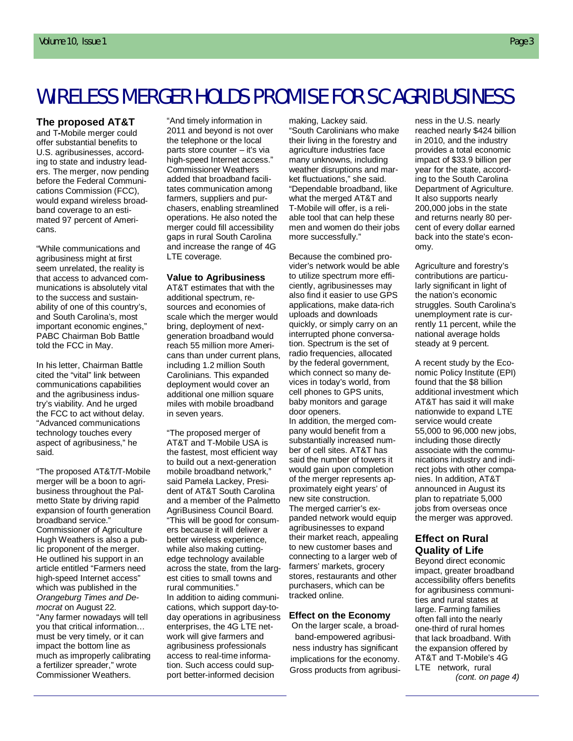# WIRELESS MERGER HOLDS PROMISE FOR SC AGRIBUSINESS

#### **The proposed AT&T**

and T**-**Mobile merger could offer substantial benefits to U.S. agribusinesses, according to state and industry leaders. The merger, now pending before the Federal Communications Commission (FCC), would expand wireless broadband coverage to an estimated 97 percent of Americans.

"While communications and agribusiness might at first seem unrelated, the reality is that access to advanced communications is absolutely vital to the success and sustainability of one of this country's, and South Carolina's, most important economic engines," PABC Chairman Bob Battle told the FCC in May.

In his letter, Chairman Battle cited the "vital" link between communications capabilities and the agribusiness industry's viability. And he urged the FCC to act without delay. "Advanced communications technology touches every aspect of agribusiness," he said.

"The proposed AT&T/T-Mobile merger will be a boon to agribusiness throughout the Palmetto State by driving rapid expansion of fourth generation broadband service." Commissioner of Agriculture Hugh Weathers is also a public proponent of the merger. He outlined his support in an article entitled "Farmers need high-speed Internet access" which was published in the *Orangeburg Times and Democrat* on August 22. "Any farmer nowadays will tell you that critical information… must be very timely, or it can impact the bottom line as much as improperly calibrating a fertilizer spreader," wrote Commissioner Weathers.

"And timely information in 2011 and beyond is not over the telephone or the local parts store counter – it's via high-speed Internet access." Commissioner Weathers added that broadband facilitates communication among farmers, suppliers and purchasers, enabling streamlined operations. He also noted the merger could fill accessibility gaps in rural South Carolina and increase the range of 4G LTE coverage.

#### **Value to Agribusiness**

AT&T estimates that with the additional spectrum, resources and economies of scale which the merger would bring, deployment of nextgeneration broadband would reach 55 million more Americans than under current plans, including 1.2 million South Carolinians. This expanded deployment would cover an additional one million square miles with mobile broadband in seven years.

"The proposed merger of AT&T and T-Mobile USA is the fastest, most efficient way to build out a next-generation mobile broadband network," said Pamela Lackey, President of AT&T South Carolina and a member of the Palmetto AgriBusiness Council Board. "This will be good for consumers because it will deliver a better wireless experience, while also making cuttingedge technology available across the state, from the largest cities to small towns and rural communities." In addition to aiding communications, which support day-today operations in agribusiness enterprises, the 4G LTE network will give farmers and agribusiness professionals access to real-time information. Such access could support better-informed decision

making, Lackey said. "South Carolinians who make their living in the forestry and agriculture industries face many unknowns, including weather disruptions and market fluctuations," she said. "Dependable broadband, like what the merged AT&T and T-Mobile will offer, is a reliable tool that can help these men and women do their jobs more successfully."

Because the combined provider's network would be able to utilize spectrum more efficiently, agribusinesses may also find it easier to use GPS applications, make data-rich uploads and downloads quickly, or simply carry on an interrupted phone conversation. Spectrum is the set of radio frequencies, allocated by the federal government, which connect so many devices in today's world, from cell phones to GPS units, baby monitors and garage door openers.

In addition, the merged company would benefit from a substantially increased number of cell sites. AT&T has said the number of towers it would gain upon completion of the merger represents approximately eight years' of new site construction. The merged carrier's expanded network would equip agribusinesses to expand their market reach, appealing to new customer bases and connecting to a larger web of farmers' markets, grocery stores, restaurants and other purchasers, which can be tracked online.

#### **Effect on the Economy**

On the larger scale, a broadband-empowered agribusiness industry has significant implications for the economy. Gross products from agribusiness in the U.S. nearly reached nearly \$424 billion in 2010, and the industry provides a total economic impact of \$33.9 billion per year for the state, according to the South Carolina Department of Agriculture. It also supports nearly 200,000 jobs in the state and returns nearly 80 percent of every dollar earned back into the state's economy.

Agriculture and forestry's contributions are particularly significant in light of the nation's economic struggles. South Carolina's unemployment rate is currently 11 percent, while the national average holds steady at 9 percent.

A recent study by the Economic Policy Institute (EPI) found that the \$8 billion additional investment which AT&T has said it will make nationwide to expand LTE service would create 55,000 to 96,000 new jobs, including those directly associate with the communications industry and indirect jobs with other companies. In addition, AT&T announced in August its plan to repatriate 5,000 jobs from overseas once the merger was approved.

### **Effect on Rural Quality of Life**

Beyond direct economic impact, greater broadband accessibility offers benefits for agribusiness communities and rural states at large. Farming families often fall into the nearly one-third of rural homes that lack broadband. With the expansion offered by AT&T and T-Mobile's 4G LTE network, rural *(cont. on page 4)*